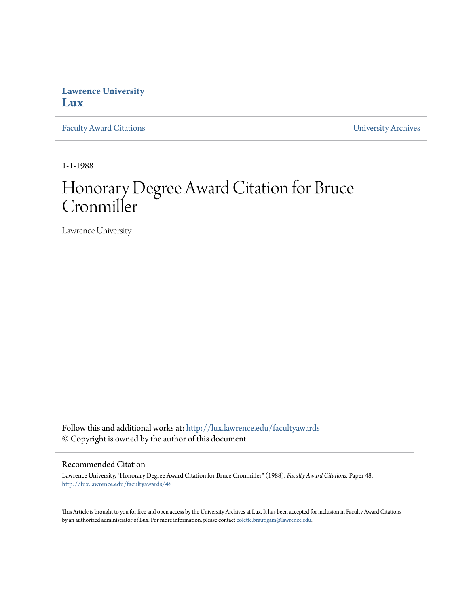## **Lawrence University [Lux](http://lux.lawrence.edu?utm_source=lux.lawrence.edu%2Ffacultyawards%2F48&utm_medium=PDF&utm_campaign=PDFCoverPages)**

[Faculty Award Citations](http://lux.lawrence.edu/facultyawards?utm_source=lux.lawrence.edu%2Ffacultyawards%2F48&utm_medium=PDF&utm_campaign=PDFCoverPages) **Example 2018** [University Archives](http://lux.lawrence.edu/archives?utm_source=lux.lawrence.edu%2Ffacultyawards%2F48&utm_medium=PDF&utm_campaign=PDFCoverPages)

1-1-1988

# Honorary Degree Award Citation for Bruce Cronmiller

Lawrence University

Follow this and additional works at: [http://lux.lawrence.edu/facultyawards](http://lux.lawrence.edu/facultyawards?utm_source=lux.lawrence.edu%2Ffacultyawards%2F48&utm_medium=PDF&utm_campaign=PDFCoverPages) © Copyright is owned by the author of this document.

#### Recommended Citation

Lawrence University, "Honorary Degree Award Citation for Bruce Cronmiller" (1988). *Faculty Award Citations.* Paper 48. [http://lux.lawrence.edu/facultyawards/48](http://lux.lawrence.edu/facultyawards/48?utm_source=lux.lawrence.edu%2Ffacultyawards%2F48&utm_medium=PDF&utm_campaign=PDFCoverPages)

This Article is brought to you for free and open access by the University Archives at Lux. It has been accepted for inclusion in Faculty Award Citations by an authorized administrator of Lux. For more information, please contact [colette.brautigam@lawrence.edu](mailto:colette.brautigam@lawrence.edu).